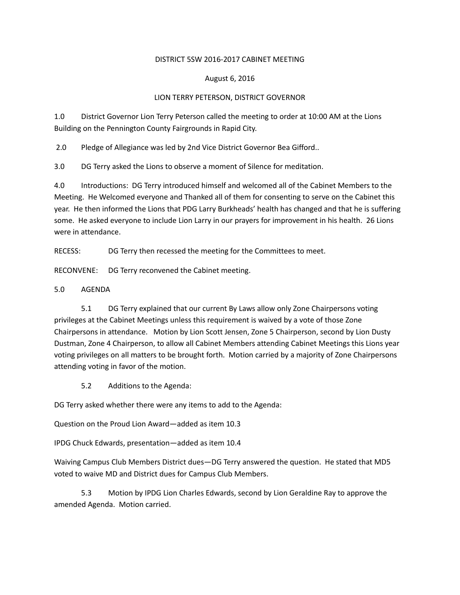### DISTRICT 5SW 2016-2017 CABINET MEETING

## August 6, 2016

## LION TERRY PETERSON, DISTRICT GOVERNOR

1.0 District Governor Lion Terry Peterson called the meeting to order at 10:00 AM at the Lions Building on the Pennington County Fairgrounds in Rapid City.

2.0 Pledge of Allegiance was led by 2nd Vice District Governor Bea Gifford..

3.0 DG Terry asked the Lions to observe a moment of Silence for meditation.

4.0 Introductions: DG Terry introduced himself and welcomed all of the Cabinet Members to the Meeting. He Welcomed everyone and Thanked all of them for consenting to serve on the Cabinet this year. He then informed the Lions that PDG Larry Burkheads' health has changed and that he is suffering some. He asked everyone to include Lion Larry in our prayers for improvement in his health. 26 Lions were in attendance.

RECESS: DG Terry then recessed the meeting for the Committees to meet.

RECONVENE: DG Terry reconvened the Cabinet meeting.

### 5.0 AGENDA

5.1 DG Terry explained that our current By Laws allow only Zone Chairpersons voting privileges at the Cabinet Meetings unless this requirement is waived by a vote of those Zone Chairpersons in attendance. Motion by Lion Scott Jensen, Zone 5 Chairperson, second by Lion Dusty Dustman, Zone 4 Chairperson, to allow all Cabinet Members attending Cabinet Meetings this Lions year voting privileges on all matters to be brought forth. Motion carried by a majority of Zone Chairpersons attending voting in favor of the motion.

5.2 Additions to the Agenda:

DG Terry asked whether there were any items to add to the Agenda:

Question on the Proud Lion Award—added as item 10.3

IPDG Chuck Edwards, presentation—added as item 10.4

Waiving Campus Club Members District dues—DG Terry answered the question. He stated that MD5 voted to waive MD and District dues for Campus Club Members.

5.3 Motion by IPDG Lion Charles Edwards, second by Lion Geraldine Ray to approve the amended Agenda. Motion carried.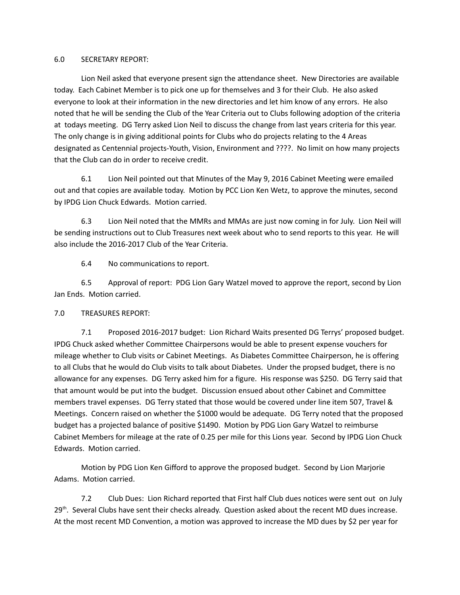#### 6.0 SECRETARY REPORT:

Lion Neil asked that everyone present sign the attendance sheet. New Directories are available today. Each Cabinet Member is to pick one up for themselves and 3 for their Club. He also asked everyone to look at their information in the new directories and let him know of any errors. He also noted that he will be sending the Club of the Year Criteria out to Clubs following adoption of the criteria at todays meeting. DG Terry asked Lion Neil to discuss the change from last years criteria for this year. The only change is in giving additional points for Clubs who do projects relating to the 4 Areas designated as Centennial projects-Youth, Vision, Environment and ????. No limit on how many projects that the Club can do in order to receive credit.

6.1 Lion Neil pointed out that Minutes of the May 9, 2016 Cabinet Meeting were emailed out and that copies are available today. Motion by PCC Lion Ken Wetz, to approve the minutes, second by IPDG Lion Chuck Edwards. Motion carried.

6.3 Lion Neil noted that the MMRs and MMAs are just now coming in for July. Lion Neil will be sending instructions out to Club Treasures next week about who to send reports to this year. He will also include the 2016-2017 Club of the Year Criteria.

6.4 No communications to report.

6.5 Approval of report: PDG Lion Gary Watzel moved to approve the report, second by Lion Jan Ends. Motion carried.

# 7.0 TREASURES REPORT:

7.1 Proposed 2016-2017 budget: Lion Richard Waits presented DG Terrys' proposed budget. IPDG Chuck asked whether Committee Chairpersons would be able to present expense vouchers for mileage whether to Club visits or Cabinet Meetings. As Diabetes Committee Chairperson, he is offering to all Clubs that he would do Club visits to talk about Diabetes. Under the propsed budget, there is no allowance for any expenses. DG Terry asked him for a figure. His response was \$250. DG Terry said that that amount would be put into the budget. Discussion ensued about other Cabinet and Committee members travel expenses. DG Terry stated that those would be covered under line item 507, Travel & Meetings. Concern raised on whether the \$1000 would be adequate. DG Terry noted that the proposed budget has a projected balance of positive \$1490. Motion by PDG Lion Gary Watzel to reimburse Cabinet Members for mileage at the rate of 0.25 per mile for this Lions year. Second by IPDG Lion Chuck Edwards. Motion carried.

Motion by PDG Lion Ken Gifford to approve the proposed budget. Second by Lion Marjorie Adams. Motion carried.

7.2 Club Dues: Lion Richard reported that First half Club dues notices were sent out on July  $29<sup>th</sup>$ . Several Clubs have sent their checks already. Question asked about the recent MD dues increase. At the most recent MD Convention, a motion was approved to increase the MD dues by \$2 per year for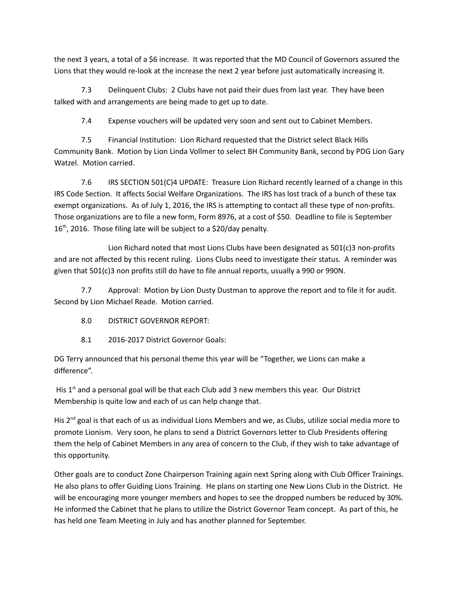the next 3 years, a total of a \$6 increase. It was reported that the MD Council of Governors assured the Lions that they would re-look at the increase the next 2 year before just automatically increasing it.

7.3 Delinquent Clubs: 2 Clubs have not paid their dues from last year. They have been talked with and arrangements are being made to get up to date.

7.4 Expense vouchers will be updated very soon and sent out to Cabinet Members.

7.5 Financial Institution: Lion Richard requested that the District select Black Hills Community Bank. Motion by Lion Linda Vollmer to select BH Community Bank, second by PDG Lion Gary Watzel. Motion carried.

7.6 IRS SECTION 501(C)4 UPDATE: Treasure Lion Richard recently learned of a change in this IRS Code Section. It affects Social Welfare Organizations. The IRS has lost track of a bunch of these tax exempt organizations. As of July 1, 2016, the IRS is attempting to contact all these type of non-profits. Those organizations are to file a new form, Form 8976, at a cost of \$50. Deadline to file is September  $16<sup>th</sup>$ , 2016. Those filing late will be subject to a \$20/day penalty.

Lion Richard noted that most Lions Clubs have been designated as 501(c)3 non-profits and are not affected by this recent ruling. Lions Clubs need to investigate their status. A reminder was given that 501(c)3 non profits still do have to file annual reports, usually a 990 or 990N.

7.7 Approval: Motion by Lion Dusty Dustman to approve the report and to file it for audit. Second by Lion Michael Reade. Motion carried.

- 8.0 DISTRICT GOVERNOR REPORT:
- 8.1 2016-2017 District Governor Goals:

DG Terry announced that his personal theme this year will be "Together, we Lions can make a difference".

His  $1<sup>st</sup>$  and a personal goal will be that each Club add 3 new members this year. Our District Membership is quite low and each of us can help change that.

His  $2^{nd}$  goal is that each of us as individual Lions Members and we, as Clubs, utilize social media more to promote Lionism. Very soon, he plans to send a District Governors letter to Club Presidents offering them the help of Cabinet Members in any area of concern to the Club, if they wish to take advantage of this opportunity.

Other goals are to conduct Zone Chairperson Training again next Spring along with Club Officer Trainings. He also plans to offer Guiding Lions Training. He plans on starting one New Lions Club in the District. He will be encouraging more younger members and hopes to see the dropped numbers be reduced by 30%. He informed the Cabinet that he plans to utilize the District Governor Team concept. As part of this, he has held one Team Meeting in July and has another planned for September.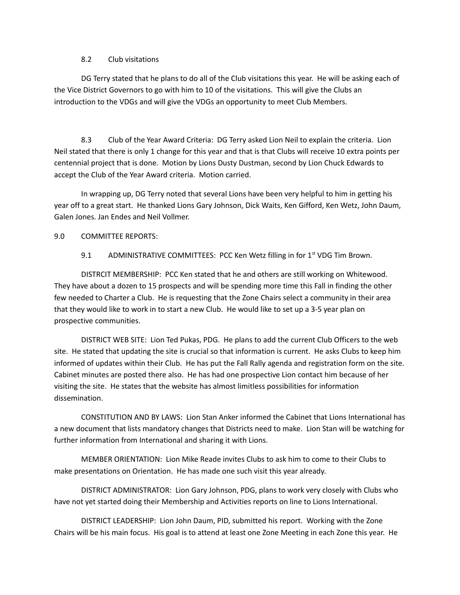### 8.2 Club visitations

DG Terry stated that he plans to do all of the Club visitations this year. He will be asking each of the Vice District Governors to go with him to 10 of the visitations. This will give the Clubs an introduction to the VDGs and will give the VDGs an opportunity to meet Club Members.

8.3 Club of the Year Award Criteria: DG Terry asked Lion Neil to explain the criteria. Lion Neil stated that there is only 1 change for this year and that is that Clubs will receive 10 extra points per centennial project that is done. Motion by Lions Dusty Dustman, second by Lion Chuck Edwards to accept the Club of the Year Award criteria. Motion carried.

In wrapping up, DG Terry noted that several Lions have been very helpful to him in getting his year off to a great start. He thanked Lions Gary Johnson, Dick Waits, Ken Gifford, Ken Wetz, John Daum, Galen Jones. Jan Endes and Neil Vollmer.

### 9.0 COMMITTEE REPORTS:

9.1 ADMINISTRATIVE COMMITTEES: PCC Ken Wetz filling in for 1<sup>st</sup> VDG Tim Brown.

DISTRCIT MEMBERSHIP: PCC Ken stated that he and others are still working on Whitewood. They have about a dozen to 15 prospects and will be spending more time this Fall in finding the other few needed to Charter a Club. He is requesting that the Zone Chairs select a community in their area that they would like to work in to start a new Club. He would like to set up a 3-5 year plan on prospective communities.

DISTRICT WEB SITE: Lion Ted Pukas, PDG. He plans to add the current Club Officers to the web site. He stated that updating the site is crucial so that information is current. He asks Clubs to keep him informed of updates within their Club. He has put the Fall Rally agenda and registration form on the site. Cabinet minutes are posted there also. He has had one prospective Lion contact him because of her visiting the site. He states that the website has almost limitless possibilities for information dissemination.

CONSTITUTION AND BY LAWS: Lion Stan Anker informed the Cabinet that Lions International has a new document that lists mandatory changes that Districts need to make. Lion Stan will be watching for further information from International and sharing it with Lions.

MEMBER ORIENTATION: Lion Mike Reade invites Clubs to ask him to come to their Clubs to make presentations on Orientation. He has made one such visit this year already.

DISTRICT ADMINISTRATOR: Lion Gary Johnson, PDG, plans to work very closely with Clubs who have not yet started doing their Membership and Activities reports on line to Lions International.

DISTRICT LEADERSHIP: Lion John Daum, PID, submitted his report. Working with the Zone Chairs will be his main focus. His goal is to attend at least one Zone Meeting in each Zone this year. He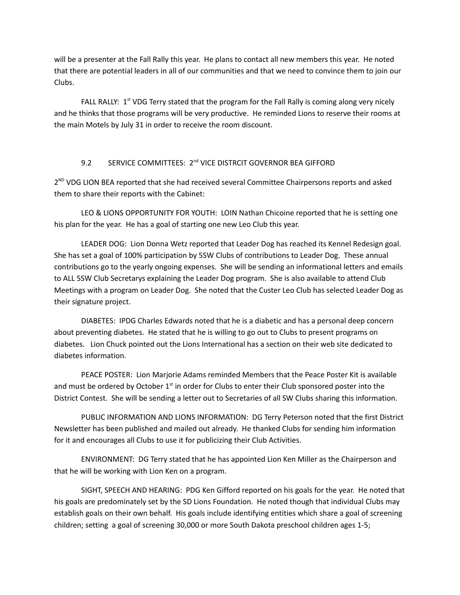will be a presenter at the Fall Rally this year. He plans to contact all new members this year. He noted that there are potential leaders in all of our communities and that we need to convince them to join our Clubs.

FALL RALLY:  $1<sup>st</sup> VDG$  Terry stated that the program for the Fall Rally is coming along very nicely and he thinks that those programs will be very productive. He reminded Lions to reserve their rooms at the main Motels by July 31 in order to receive the room discount.

# 9.2 SERVICE COMMITTEES: 2<sup>nd</sup> VICE DISTRCIT GOVERNOR BEA GIFFORD

2<sup>ND</sup> VDG LION BEA reported that she had received several Committee Chairpersons reports and asked them to share their reports with the Cabinet:

LEO & LIONS OPPORTUNITY FOR YOUTH: LOIN Nathan Chicoine reported that he is setting one his plan for the year. He has a goal of starting one new Leo Club this year.

LEADER DOG: Lion Donna Wetz reported that Leader Dog has reached its Kennel Redesign goal. She has set a goal of 100% participation by 5SW Clubs of contributions to Leader Dog. These annual contributions go to the yearly ongoing expenses. She will be sending an informational letters and emails to ALL 5SW Club Secretarys explaining the Leader Dog program. She is also available to attend Club Meetings with a program on Leader Dog. She noted that the Custer Leo Club has selected Leader Dog as their signature project.

DIABETES: IPDG Charles Edwards noted that he is a diabetic and has a personal deep concern about preventing diabetes. He stated that he is willing to go out to Clubs to present programs on diabetes. Lion Chuck pointed out the Lions International has a section on their web site dedicated to diabetes information.

PEACE POSTER: Lion Marjorie Adams reminded Members that the Peace Poster Kit is available and must be ordered by October  $1<sup>st</sup>$  in order for Clubs to enter their Club sponsored poster into the District Contest. She will be sending a letter out to Secretaries of all SW Clubs sharing this information.

PUBLIC INFORMATION AND LIONS INFORMATION: DG Terry Peterson noted that the first District Newsletter has been published and mailed out already. He thanked Clubs for sending him information for it and encourages all Clubs to use it for publicizing their Club Activities.

ENVIRONMENT: DG Terry stated that he has appointed Lion Ken Miller as the Chairperson and that he will be working with Lion Ken on a program.

SIGHT, SPEECH AND HEARING: PDG Ken Gifford reported on his goals for the year. He noted that his goals are predominately set by the SD Lions Foundation. He noted though that individual Clubs may establish goals on their own behalf. His goals include identifying entities which share a goal of screening children; setting a goal of screening 30,000 or more South Dakota preschool children ages 1-5;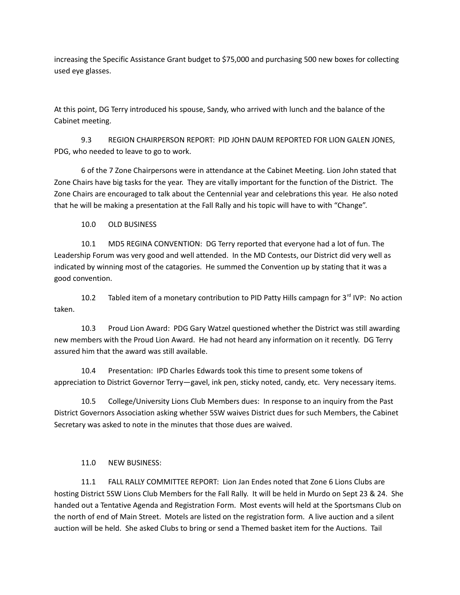increasing the Specific Assistance Grant budget to \$75,000 and purchasing 500 new boxes for collecting used eye glasses.

At this point, DG Terry introduced his spouse, Sandy, who arrived with lunch and the balance of the Cabinet meeting.

9.3 REGION CHAIRPERSON REPORT: PID JOHN DAUM REPORTED FOR LION GALEN JONES, PDG, who needed to leave to go to work.

6 of the 7 Zone Chairpersons were in attendance at the Cabinet Meeting. Lion John stated that Zone Chairs have big tasks for the year. They are vitally important for the function of the District. The Zone Chairs are encouraged to talk about the Centennial year and celebrations this year. He also noted that he will be making a presentation at the Fall Rally and his topic will have to with "Change".

10.0 OLD BUSINESS

10.1 MD5 REGINA CONVENTION: DG Terry reported that everyone had a lot of fun. The Leadership Forum was very good and well attended. In the MD Contests, our District did very well as indicated by winning most of the catagories. He summed the Convention up by stating that it was a good convention.

10.2 Tabled item of a monetary contribution to PID Patty Hills campagn for  $3^{rd}$  IVP: No action taken.

10.3 Proud Lion Award: PDG Gary Watzel questioned whether the District was still awarding new members with the Proud Lion Award. He had not heard any information on it recently. DG Terry assured him that the award was still available.

10.4 Presentation: IPD Charles Edwards took this time to present some tokens of appreciation to District Governor Terry—gavel, ink pen, sticky noted, candy, etc. Very necessary items.

10.5 College/University Lions Club Members dues: In response to an inquiry from the Past District Governors Association asking whether 5SW waives District dues for such Members, the Cabinet Secretary was asked to note in the minutes that those dues are waived.

# 11.0 NEW BUSINESS:

11.1 FALL RALLY COMMITTEE REPORT: Lion Jan Endes noted that Zone 6 Lions Clubs are hosting District 5SW Lions Club Members for the Fall Rally. It will be held in Murdo on Sept 23 & 24. She handed out a Tentative Agenda and Registration Form. Most events will held at the Sportsmans Club on the north of end of Main Street. Motels are listed on the registration form. A live auction and a silent auction will be held. She asked Clubs to bring or send a Themed basket item for the Auctions. Tail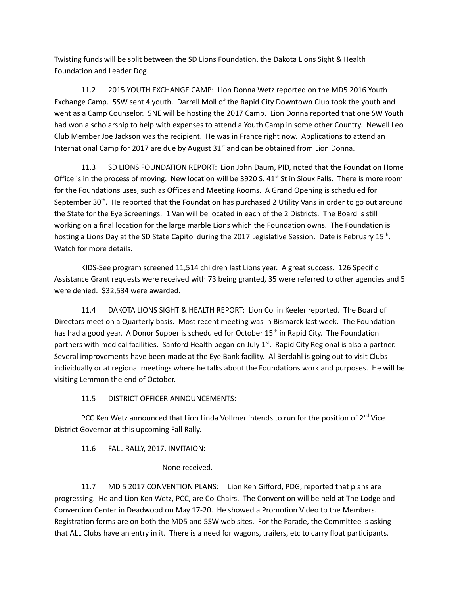Twisting funds will be split between the SD Lions Foundation, the Dakota Lions Sight & Health Foundation and Leader Dog.

11.2 2015 YOUTH EXCHANGE CAMP: Lion Donna Wetz reported on the MD5 2016 Youth Exchange Camp. 5SW sent 4 youth. Darrell Moll of the Rapid City Downtown Club took the youth and went as a Camp Counselor. 5NE will be hosting the 2017 Camp. Lion Donna reported that one SW Youth had won a scholarship to help with expenses to attend a Youth Camp in some other Country. Newell Leo Club Member Joe Jackson was the recipient. He was in France right now. Applications to attend an International Camp for 2017 are due by August  $31<sup>st</sup>$  and can be obtained from Lion Donna.

11.3 SD LIONS FOUNDATION REPORT: Lion John Daum, PID, noted that the Foundation Home Office is in the process of moving. New location will be 3920 S.  $41<sup>st</sup>$  St in Sioux Falls. There is more room for the Foundations uses, such as Offices and Meeting Rooms. A Grand Opening is scheduled for September 30<sup>th</sup>. He reported that the Foundation has purchased 2 Utility Vans in order to go out around the State for the Eye Screenings. 1 Van will be located in each of the 2 Districts. The Board is still working on a final location for the large marble Lions which the Foundation owns. The Foundation is hosting a Lions Day at the SD State Capitol during the 2017 Legislative Session. Date is February 15<sup>th</sup>. Watch for more details.

KIDS-See program screened 11,514 children last Lions year. A great success. 126 Specific Assistance Grant requests were received with 73 being granted, 35 were referred to other agencies and 5 were denied. \$32,534 were awarded.

11.4 DAKOTA LIONS SIGHT & HEALTH REPORT: Lion Collin Keeler reported. The Board of Directors meet on a Quarterly basis. Most recent meeting was in Bismarck last week. The Foundation has had a good year. A Donor Supper is scheduled for October 15<sup>th</sup> in Rapid City. The Foundation partners with medical facilities. Sanford Health began on July  $1<sup>st</sup>$ . Rapid City Regional is also a partner. Several improvements have been made at the Eye Bank facility. Al Berdahl is going out to visit Clubs individually or at regional meetings where he talks about the Foundations work and purposes. He will be visiting Lemmon the end of October.

# 11.5 DISTRICT OFFICER ANNOUNCEMENTS:

PCC Ken Wetz announced that Lion Linda Vollmer intends to run for the position of 2<sup>nd</sup> Vice District Governor at this upcoming Fall Rally.

11.6 FALL RALLY, 2017, INVITAION:

None received.

11.7 MD 5 2017 CONVENTION PLANS: Lion Ken Gifford, PDG, reported that plans are progressing. He and Lion Ken Wetz, PCC, are Co-Chairs. The Convention will be held at The Lodge and Convention Center in Deadwood on May 17-20. He showed a Promotion Video to the Members. Registration forms are on both the MD5 and 5SW web sites. For the Parade, the Committee is asking that ALL Clubs have an entry in it. There is a need for wagons, trailers, etc to carry float participants.